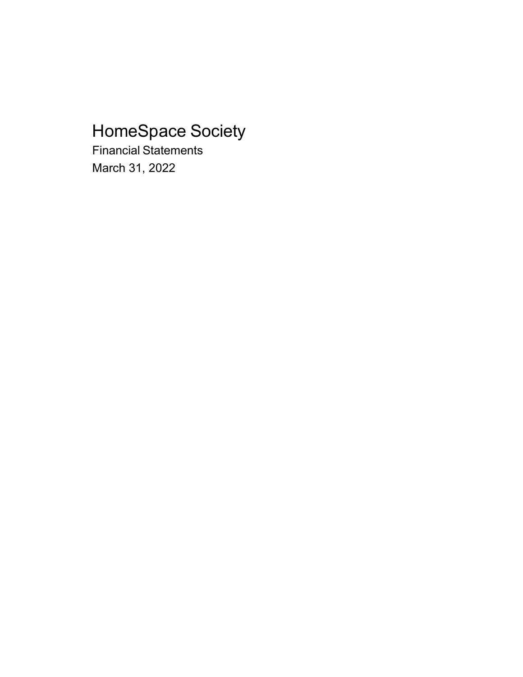# HomeSpace Society

Financial Statements March 31, 2022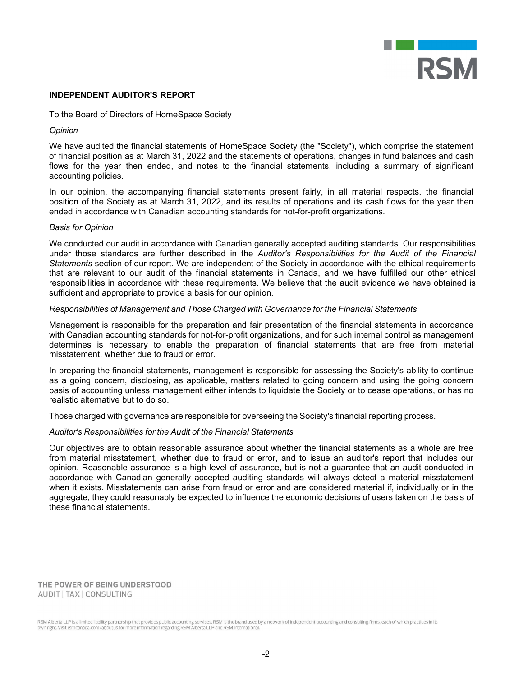

#### **INDEPENDENT AUDITOR'S REPORT**

To the Board of Directors of HomeSpace Society

#### *Opinion*

We have audited the financial statements of HomeSpace Society (the "Society"), which comprise the statement of financial position as at March 31, 2022 and the statements of operations, changes in fund balances and cash flows for the year then ended, and notes to the financial statements, including a summary of significant accounting policies.

In our opinion, the accompanying financial statements present fairly, in all material respects, the financial position of the Society as at March 31, 2022, and its results of operations and its cash flows for the year then ended in accordance with Canadian accounting standards for not-for-profit organizations.

#### *Basis for Opinion*

We conducted our audit in accordance with Canadian generally accepted auditing standards. Our responsibilities under those standards are further described in the *Auditor's Responsibilities for the Audit of the Financial Statements* section of our report. We are independent of the Society in accordance with the ethical requirements that are relevant to our audit of the financial statements in Canada, and we have fulfilled our other ethical responsibilities in accordance with these requirements. We believe that the audit evidence we have obtained is sufficient and appropriate to provide a basis for our opinion.

#### *Responsibilities of Management and Those Charged with Governance for the Financial Statements*

Management is responsible for the preparation and fair presentation of the financial statements in accordance with Canadian accounting standards for not-for-profit organizations, and for such internal control as management determines is necessary to enable the preparation of financial statements that are free from material misstatement, whether due to fraud or error.

In preparing the financial statements, management is responsible for assessing the Society's ability to continue as a going concern, disclosing, as applicable, matters related to going concern and using the going concern basis of accounting unless management either intends to liquidate the Society or to cease operations, or has no realistic alternative but to do so.

Those charged with governance are responsible for overseeing the Society's financial reporting process.

#### *Auditor's Responsibilities for the Audit of the Financial Statements*

Our objectives are to obtain reasonable assurance about whether the financial statements as a whole are free from material misstatement, whether due to fraud or error, and to issue an auditor's report that includes our opinion. Reasonable assurance is a high level of assurance, but is not a guarantee that an audit conducted in accordance with Canadian generally accepted auditing standards will always detect a material misstatement when it exists. Misstatements can arise from fraud or error and are considered material if, individually or in the aggregate, they could reasonably be expected to influence the economic decisions of users taken on the basis of these financial statements.

THE POWER OF BEING UNDERSTOOD AUDIT | TAX | CONSULTING

RSM Alberta LLP is a limited liability partnership that provides public accounting services. RSM is the brand used by a network of independent accounting and consulting firms, each of which practices in its own right. Visit rsmcanada.com/aboutus for more information regarding RSM Alberta LLP and RSM International.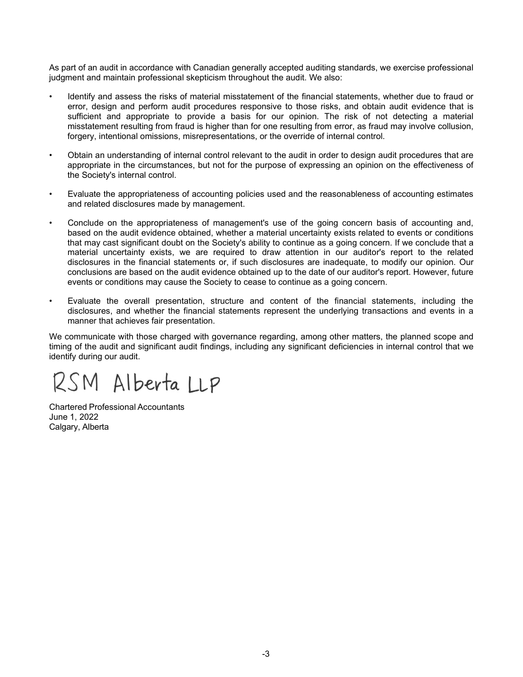As part of an audit in accordance with Canadian generally accepted auditing standards, we exercise professional judgment and maintain professional skepticism throughout the audit. We also:

- Identify and assess the risks of material misstatement of the financial statements, whether due to fraud or error, design and perform audit procedures responsive to those risks, and obtain audit evidence that is sufficient and appropriate to provide a basis for our opinion. The risk of not detecting a material misstatement resulting from fraud is higher than for one resulting from error, as fraud may involve collusion, forgery, intentional omissions, misrepresentations, or the override of internal control.
- Obtain an understanding of internal control relevant to the audit in order to design audit procedures that are appropriate in the circumstances, but not for the purpose of expressing an opinion on the effectiveness of the Society's internal control.
- Evaluate the appropriateness of accounting policies used and the reasonableness of accounting estimates and related disclosures made by management.
- Conclude on the appropriateness of management's use of the going concern basis of accounting and, based on the audit evidence obtained, whether a material uncertainty exists related to events or conditions that may cast significant doubt on the Society's ability to continue as a going concern. If we conclude that a material uncertainty exists, we are required to draw attention in our auditor's report to the related disclosures in the financial statements or, if such disclosures are inadequate, to modify our opinion. Our conclusions are based on the audit evidence obtained up to the date of our auditor's report. However, future events or conditions may cause the Society to cease to continue as a going concern.
- Evaluate the overall presentation, structure and content of the financial statements, including the disclosures, and whether the financial statements represent the underlying transactions and events in a manner that achieves fair presentation.

We communicate with those charged with governance regarding, among other matters, the planned scope and timing of the audit and significant audit findings, including any significant deficiencies in internal control that we identify during our audit.

RSM Alberta LLP

Chartered Professional Accountants June 1, 2022 Calgary, Alberta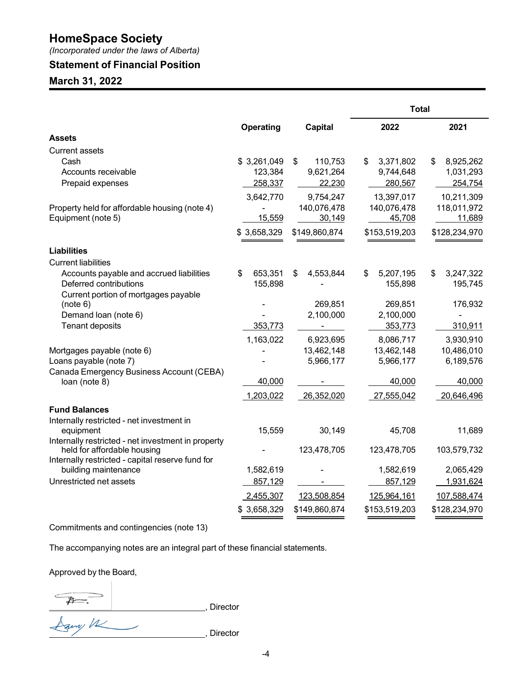# **HomeSpace Society**

*(Incorporated under the laws of Alberta)* 

### **Statement of Financial Position**

## **March 31, 2022**

|                                                                                   |                      |                         | <b>Total</b>            |                           |
|-----------------------------------------------------------------------------------|----------------------|-------------------------|-------------------------|---------------------------|
|                                                                                   | <b>Operating</b>     | <b>Capital</b>          | 2022                    | 2021                      |
| <b>Assets</b>                                                                     |                      |                         |                         |                           |
| <b>Current assets</b>                                                             |                      |                         |                         |                           |
| Cash                                                                              | \$3,261,049          | \$<br>110,753           | 3,371,802<br>\$         | 8,925,262<br>\$           |
| Accounts receivable                                                               | 123,384              | 9,621,264               | 9,744,648               | 1,031,293                 |
| Prepaid expenses                                                                  | 258,337              | 22,230                  | 280,567                 | 254,754                   |
|                                                                                   | 3,642,770            | 9,754,247               | 13,397,017              | 10,211,309                |
| Property held for affordable housing (note 4)                                     |                      | 140,076,478             | 140,076,478             | 118,011,972               |
| Equipment (note 5)                                                                | 15,559               | 30,149                  | 45,708                  | 11,689                    |
|                                                                                   | \$3,658,329          | \$149,860,874           | \$153,519,203           | \$128,234,970             |
| <b>Liabilities</b>                                                                |                      |                         |                         |                           |
| <b>Current liabilities</b>                                                        |                      |                         |                         |                           |
| Accounts payable and accrued liabilities                                          | 653,351<br>\$        | \$<br>4,553,844         | 5,207,195<br>\$         | 3,247,322<br>\$           |
| Deferred contributions                                                            | 155,898              |                         | 155,898                 | 195,745                   |
| Current portion of mortgages payable                                              |                      |                         |                         |                           |
| (note 6)<br>Demand loan (note 6)                                                  |                      | 269,851<br>2,100,000    | 269,851<br>2,100,000    | 176,932<br>$\blacksquare$ |
| Tenant deposits                                                                   | 353,773              | $\sim 100$ km s $^{-1}$ | 353,773                 | 310,911                   |
|                                                                                   | 1,163,022            |                         |                         |                           |
| Mortgages payable (note 6)                                                        |                      | 6,923,695<br>13,462,148 | 8,086,717<br>13,462,148 | 3,930,910<br>10,486,010   |
| Loans payable (note 7)                                                            |                      | 5,966,177               | 5,966,177               | 6,189,576                 |
| Canada Emergency Business Account (CEBA)                                          |                      |                         |                         |                           |
| loan (note 8)                                                                     | 40,000               |                         | 40,000                  | 40,000                    |
|                                                                                   | 1,203,022            | 26,352,020              | 27,555,042              | 20,646,496                |
| <b>Fund Balances</b>                                                              |                      |                         |                         |                           |
| Internally restricted - net investment in                                         |                      |                         |                         |                           |
| equipment                                                                         | 15,559               | 30,149                  | 45,708                  | 11,689                    |
| Internally restricted - net investment in property<br>held for affordable housing |                      | 123,478,705             | 123,478,705             | 103,579,732               |
| Internally restricted - capital reserve fund for                                  |                      |                         |                         |                           |
| building maintenance<br>Unrestricted net assets                                   | 1,582,619<br>857,129 |                         | 1,582,619               | 2,065,429                 |
|                                                                                   |                      |                         | 857,129                 | 1,931,624                 |
|                                                                                   | 2,455,307            | 123,508,854             | 125,964,161             | 107,588,474               |
|                                                                                   | \$3,658,329          | \$149,860,874           | \$153,519,203           | \$128,234,970             |

Commitments and contingencies (note 13)

The accompanying notes are an integral part of these financial statements.

Approved by the Board,

, Director

, Director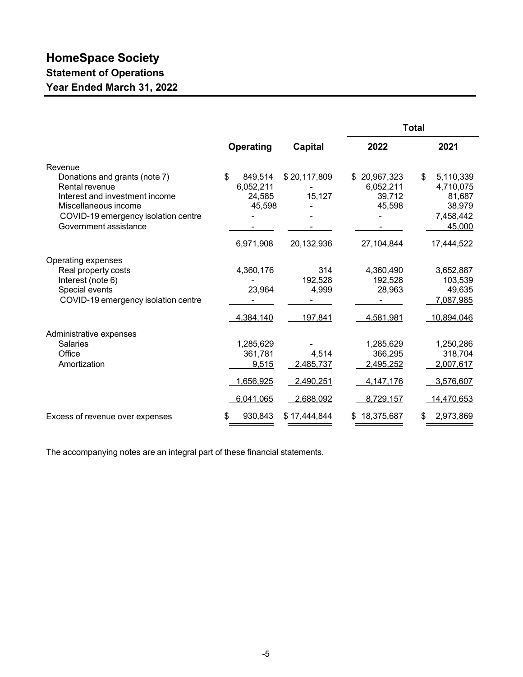# **HomeSpace Society Statement of Operations Year Ended March 31, 2022**

|                                                                                                                                                                                      |                                                             |                                      |                                                             | <b>Total</b>                                                                          |
|--------------------------------------------------------------------------------------------------------------------------------------------------------------------------------------|-------------------------------------------------------------|--------------------------------------|-------------------------------------------------------------|---------------------------------------------------------------------------------------|
|                                                                                                                                                                                      | <b>Operating</b>                                            | Capital                              | 2022                                                        | 2021                                                                                  |
| Revenue<br>Donations and grants (note 7)<br>Rental revenue<br>Interest and investment income<br>Miscellaneous income<br>COVID-19 emergency isolation centre<br>Government assistance | \$<br>849,514<br>6,052,211<br>24.585<br>45,598<br>6,971,908 | \$20,117,809<br>15,127<br>20,132,936 | \$20,967,323<br>6,052,211<br>39,712<br>45,598<br>27,104,844 | 5,110,339<br>\$<br>4,710,075<br>81,687<br>38,979<br>7,458,442<br>45,000<br>17,444,522 |
| Operating expenses<br>Real property costs                                                                                                                                            | 4,360,176                                                   | 314                                  | 4,360,490                                                   | 3,652,887                                                                             |
| Interest (note 6)<br>Special events<br>COVID-19 emergency isolation centre                                                                                                           | 23,964                                                      | 192,528<br>4,999                     | 192,528<br>28,963                                           | 103,539<br>49,635<br>7,087,985                                                        |
|                                                                                                                                                                                      | 4,384,140                                                   | 197,841                              | 4,581,981                                                   | 10,894,046                                                                            |
| Administrative expenses<br><b>Salaries</b><br>Office<br>Amortization                                                                                                                 | 1,285,629<br>361,781<br>9,515                               | 4,514<br>2,485,737                   | 1,285,629<br>366,295<br>2,495,252                           | 1,250,286<br>318,704<br>2,007,617                                                     |
|                                                                                                                                                                                      | 1,656,925                                                   | 2,490,251                            | 4,147,176                                                   | 3,576,607                                                                             |
| Excess of revenue over expenses                                                                                                                                                      | 6,041,065<br>930,843<br>\$                                  | 2,688,092<br>\$17,444,844            | 8,729,157<br>18,375,687<br>\$                               | 14,470,653<br>2,973,869<br>\$                                                         |

The accompanying notes are an integral part of these financial statements.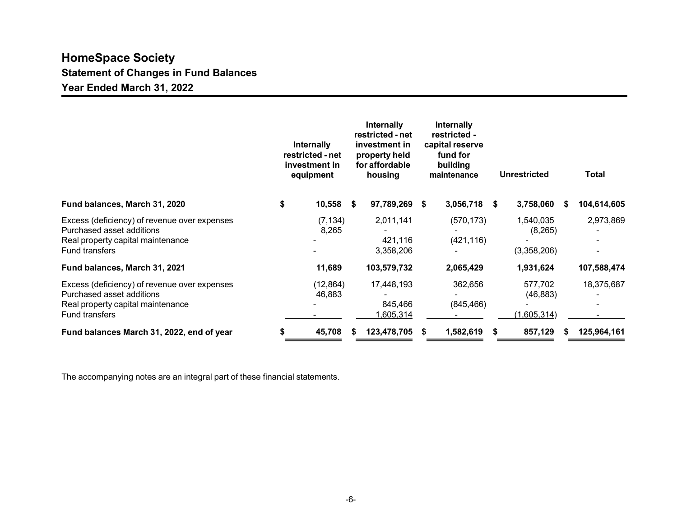# **HomeSpace Society Statement of Changes in Fund Balances Year Ended March 31, 2022**

|                                                                                                                                         |   | <b>Internally</b><br>restricted - net<br>investment in<br>equipment |      | <b>Internally</b><br>restricted - net<br>investment in<br>property held<br>for affordable<br>housing |    | <b>Internally</b><br>restricted -<br>capital reserve<br>fund for<br>building<br>maintenance |    | <b>Unrestricted</b>                 |   | Total       |
|-----------------------------------------------------------------------------------------------------------------------------------------|---|---------------------------------------------------------------------|------|------------------------------------------------------------------------------------------------------|----|---------------------------------------------------------------------------------------------|----|-------------------------------------|---|-------------|
| Fund balances, March 31, 2020                                                                                                           | S | 10,558                                                              | - 56 | 97,789,269                                                                                           | S. | 3,056,718                                                                                   | S. | 3,758,060                           | S | 104,614,605 |
| Excess (deficiency) of revenue over expenses<br>Purchased asset additions<br>Real property capital maintenance<br><b>Fund transfers</b> |   | (7, 134)<br>8,265                                                   |      | 2,011,141<br>421,116<br>3,358,206                                                                    |    | (570, 173)<br>(421, 116)                                                                    |    | 1,540,035<br>(8,265)<br>(3,358,206) |   | 2,973,869   |
| Fund balances, March 31, 2021                                                                                                           |   | 11,689                                                              |      | 103,579,732                                                                                          |    | 2,065,429                                                                                   |    | 1,931,624                           |   | 107,588,474 |
| Excess (deficiency) of revenue over expenses<br>Purchased asset additions<br>Real property capital maintenance<br><b>Fund transfers</b> |   | (12, 864)<br>46,883                                                 |      | 17,448,193<br>845,466<br>1,605,314                                                                   |    | 362,656<br>(845, 466)                                                                       |    | 577,702<br>(46, 883)<br>(1,605,314) |   | 18,375,687  |
| Fund balances March 31, 2022, end of year                                                                                               |   | 45,708                                                              | æ.   | 123,478,705                                                                                          | S  | 1,582,619                                                                                   | S  | 857,129                             | S | 125,964,161 |

The accompanying notes are an integral part of these financial statements.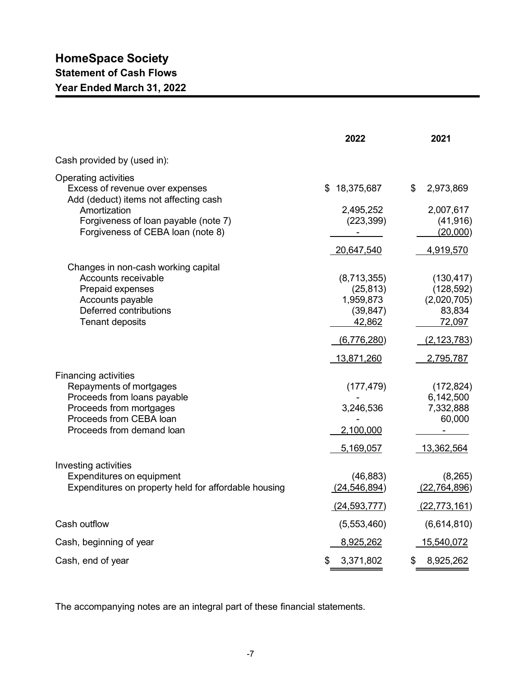# **HomeSpace Society Statement of Cash Flows Year Ended March 31, 2022**

|                                                                                                                                                                                               | 2022                                                                                                           | 2021                                                                                                   |
|-----------------------------------------------------------------------------------------------------------------------------------------------------------------------------------------------|----------------------------------------------------------------------------------------------------------------|--------------------------------------------------------------------------------------------------------|
| Cash provided by (used in):                                                                                                                                                                   |                                                                                                                |                                                                                                        |
| Operating activities<br>Excess of revenue over expenses<br>Add (deduct) items not affecting cash<br>Amortization<br>Forgiveness of loan payable (note 7)<br>Forgiveness of CEBA loan (note 8) | 18,375,687<br>S.<br>2,495,252<br>(223, 399)                                                                    | \$<br>2,973,869<br>2,007,617<br>(41, 916)<br>(20,000)                                                  |
| Changes in non-cash working capital<br>Accounts receivable<br>Prepaid expenses<br>Accounts payable<br>Deferred contributions<br><b>Tenant deposits</b>                                        | 20,647,540<br>(8,713,355)<br>(25, 813)<br>1,959,873<br>(39, 847)<br>42,862<br>(6,776,280)<br><u>13,871,260</u> | 4,919,570<br>(130, 417)<br>(128, 592)<br>(2,020,705)<br>83,834<br>72,097<br>(2, 123, 783)<br>2,795,787 |
| <b>Financing activities</b><br>Repayments of mortgages<br>Proceeds from loans payable<br>Proceeds from mortgages<br>Proceeds from CEBA loan<br>Proceeds from demand loan                      | (177, 479)<br>3,246,536<br>2,100,000<br>5,169,057                                                              | (172, 824)<br>6,142,500<br>7,332,888<br>60,000<br>13,362,564                                           |
| Investing activities<br><b>Expenditures on equipment</b><br>Expenditures on property held for affordable housing                                                                              | (46, 883)<br>(24, 546, 894)<br>(24, 593, 777)                                                                  | (8,265)<br>(22, 764, 896)<br>(22, 773, 161)                                                            |
| Cash outflow                                                                                                                                                                                  | (5,553,460)                                                                                                    | (6,614,810)                                                                                            |
| Cash, beginning of year                                                                                                                                                                       | 8,925,262                                                                                                      | 15,540,072                                                                                             |
| Cash, end of year                                                                                                                                                                             | \$<br>3,371,802                                                                                                | \$<br>8,925,262                                                                                        |

The accompanying notes are an integral part of these financial statements.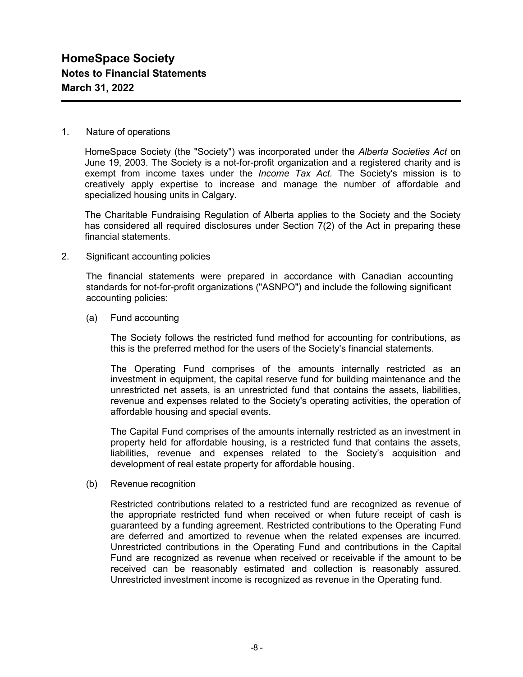#### 1. Nature of operations

HomeSpace Society (the "Society") was incorporated under the *Alberta Societies Act* on June 19, 2003. The Society is a not-for-profit organization and a registered charity and is exempt from income taxes under the *Income Tax Act.* The Society's mission is to creatively apply expertise to increase and manage the number of affordable and specialized housing units in Calgary.

The Charitable Fundraising Regulation of Alberta applies to the Society and the Society has considered all required disclosures under Section 7(2) of the Act in preparing these financial statements.

#### 2. Significant accounting policies

The financial statements were prepared in accordance with Canadian accounting standards for not-for-profit organizations ("ASNPO") and include the following significant accounting policies:

#### (a) Fund accounting

The Society follows the restricted fund method for accounting for contributions, as this is the preferred method for the users of the Society's financial statements.

The Operating Fund comprises of the amounts internally restricted as an investment in equipment, the capital reserve fund for building maintenance and the unrestricted net assets, is an unrestricted fund that contains the assets, liabilities, revenue and expenses related to the Society's operating activities, the operation of affordable housing and special events.

The Capital Fund comprises of the amounts internally restricted as an investment in property held for affordable housing, is a restricted fund that contains the assets, liabilities, revenue and expenses related to the Society's acquisition and development of real estate property for affordable housing.

(b) Revenue recognition

Restricted contributions related to a restricted fund are recognized as revenue of the appropriate restricted fund when received or when future receipt of cash is guaranteed by a funding agreement. Restricted contributions to the Operating Fund are deferred and amortized to revenue when the related expenses are incurred. Unrestricted contributions in the Operating Fund and contributions in the Capital Fund are recognized as revenue when received or receivable if the amount to be received can be reasonably estimated and collection is reasonably assured. Unrestricted investment income is recognized as revenue in the Operating fund.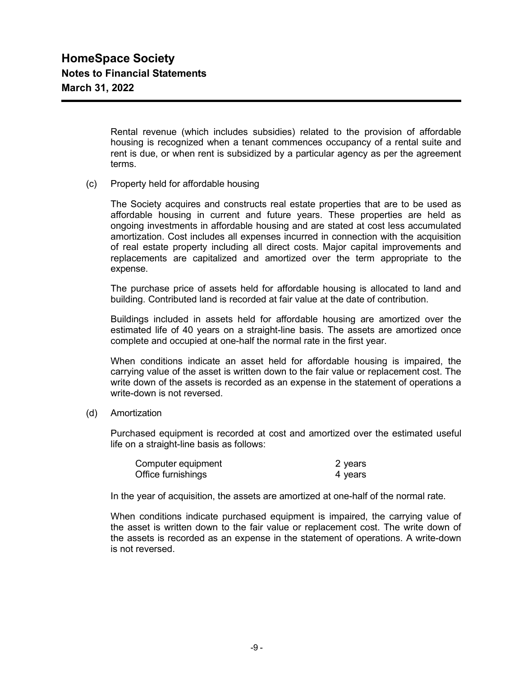Rental revenue (which includes subsidies) related to the provision of affordable housing is recognized when a tenant commences occupancy of a rental suite and rent is due, or when rent is subsidized by a particular agency as per the agreement terms.

(c) Property held for affordable housing

The Society acquires and constructs real estate properties that are to be used as affordable housing in current and future years. These properties are held as ongoing investments in affordable housing and are stated at cost less accumulated amortization. Cost includes all expenses incurred in connection with the acquisition of real estate property including all direct costs. Major capital improvements and replacements are capitalized and amortized over the term appropriate to the expense.

The purchase price of assets held for affordable housing is allocated to land and building. Contributed land is recorded at fair value at the date of contribution.

Buildings included in assets held for affordable housing are amortized over the estimated life of 40 years on a straight-line basis. The assets are amortized once complete and occupied at one-half the normal rate in the first year.

When conditions indicate an asset held for affordable housing is impaired, the carrying value of the asset is written down to the fair value or replacement cost. The write down of the assets is recorded as an expense in the statement of operations a write-down is not reversed.

(d) Amortization

Purchased equipment is recorded at cost and amortized over the estimated useful life on a straight-line basis as follows:

| Computer equipment | 2 years |
|--------------------|---------|
| Office furnishings | 4 years |

In the year of acquisition, the assets are amortized at one-half of the normal rate.

When conditions indicate purchased equipment is impaired, the carrying value of the asset is written down to the fair value or replacement cost. The write down of the assets is recorded as an expense in the statement of operations. A write-down is not reversed.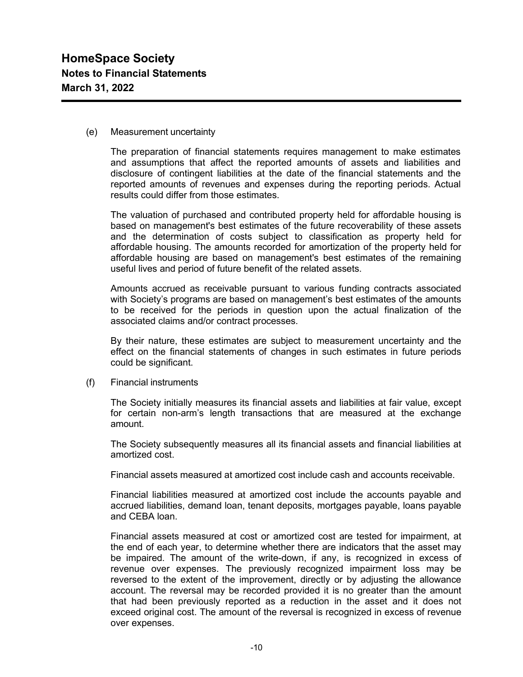#### (e) Measurement uncertainty

The preparation of financial statements requires management to make estimates and assumptions that affect the reported amounts of assets and liabilities and disclosure of contingent liabilities at the date of the financial statements and the reported amounts of revenues and expenses during the reporting periods. Actual results could differ from those estimates.

The valuation of purchased and contributed property held for affordable housing is based on management's best estimates of the future recoverability of these assets and the determination of costs subject to classification as property held for affordable housing. The amounts recorded for amortization of the property held for affordable housing are based on management's best estimates of the remaining useful lives and period of future benefit of the related assets.

Amounts accrued as receivable pursuant to various funding contracts associated with Society's programs are based on management's best estimates of the amounts to be received for the periods in question upon the actual finalization of the associated claims and/or contract processes.

By their nature, these estimates are subject to measurement uncertainty and the effect on the financial statements of changes in such estimates in future periods could be significant.

#### (f) Financial instruments

The Society initially measures its financial assets and liabilities at fair value, except for certain non-arm's length transactions that are measured at the exchange amount.

The Society subsequently measures all its financial assets and financial liabilities at amortized cost.

Financial assets measured at amortized cost include cash and accounts receivable.

Financial liabilities measured at amortized cost include the accounts payable and accrued liabilities, demand loan, tenant deposits, mortgages payable, loans payable and CEBA loan.

Financial assets measured at cost or amortized cost are tested for impairment, at the end of each year, to determine whether there are indicators that the asset may be impaired. The amount of the write-down, if any, is recognized in excess of revenue over expenses. The previously recognized impairment loss may be reversed to the extent of the improvement, directly or by adjusting the allowance account. The reversal may be recorded provided it is no greater than the amount that had been previously reported as a reduction in the asset and it does not exceed original cost. The amount of the reversal is recognized in excess of revenue over expenses.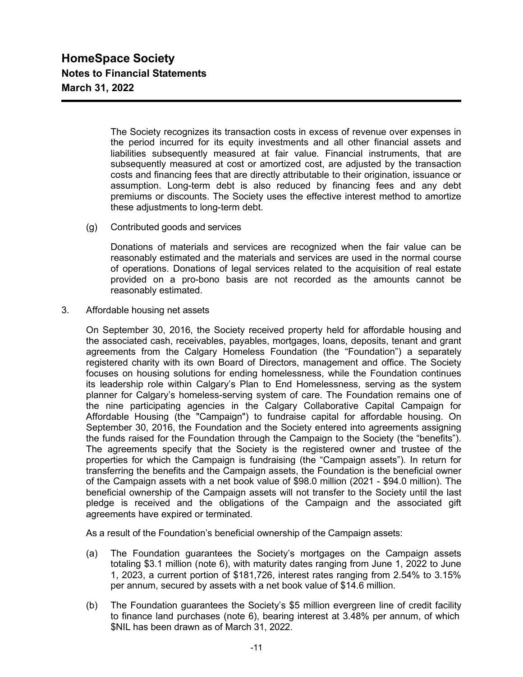The Society recognizes its transaction costs in excess of revenue over expenses in the period incurred for its equity investments and all other financial assets and liabilities subsequently measured at fair value. Financial instruments, that are subsequently measured at cost or amortized cost, are adjusted by the transaction costs and financing fees that are directly attributable to their origination, issuance or assumption. Long-term debt is also reduced by financing fees and any debt premiums or discounts. The Society uses the effective interest method to amortize these adjustments to long-term debt.

(g) Contributed goods and services

Donations of materials and services are recognized when the fair value can be reasonably estimated and the materials and services are used in the normal course of operations. Donations of legal services related to the acquisition of real estate provided on a pro-bono basis are not recorded as the amounts cannot be reasonably estimated.

3. Affordable housing net assets

On September 30, 2016, the Society received property held for affordable housing and the associated cash, receivables, payables, mortgages, loans, deposits, tenant and grant agreements from the Calgary Homeless Foundation (the "Foundation") a separately registered charity with its own Board of Directors, management and office. The Society focuses on housing solutions for ending homelessness, while the Foundation continues its leadership role within Calgary's Plan to End Homelessness, serving as the system planner for Calgary's homeless-serving system of care. The Foundation remains one of the nine participating agencies in the Calgary Collaborative Capital Campaign for Affordable Housing (the "Campaign") to fundraise capital for affordable housing. On September 30, 2016, the Foundation and the Society entered into agreements assigning the funds raised for the Foundation through the Campaign to the Society (the "benefits"). The agreements specify that the Society is the registered owner and trustee of the properties for which the Campaign is fundraising (the "Campaign assets"). In return for transferring the benefits and the Campaign assets, the Foundation is the beneficial owner of the Campaign assets with a net book value of \$98.0 million (2021 - \$94.0 million). The beneficial ownership of the Campaign assets will not transfer to the Society until the last pledge is received and the obligations of the Campaign and the associated gift agreements have expired or terminated.

As a result of the Foundation's beneficial ownership of the Campaign assets:

- (a) The Foundation guarantees the Society's mortgages on the Campaign assets totaling \$3.1 million (note 6), with maturity dates ranging from June 1, 2022 to June 1, 2023, a current portion of \$181,726, interest rates ranging from 2.54% to 3.15% per annum, secured by assets with a net book value of \$14.6 million.
- (b) The Foundation guarantees the Society's \$5 million evergreen line of credit facility to finance land purchases (note 6), bearing interest at 3.48% per annum, of which \$NIL has been drawn as of March 31, 2022.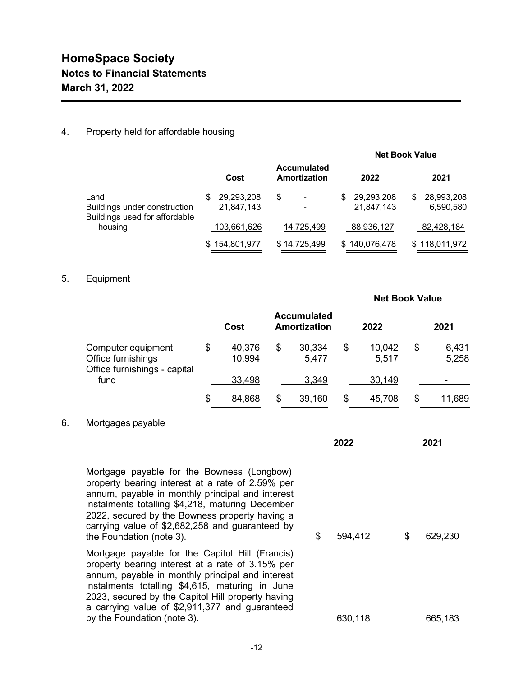### 4. Property held for affordable housing

|                                                                       |                               |                                    |                               | <b>Net Book Value</b>         |
|-----------------------------------------------------------------------|-------------------------------|------------------------------------|-------------------------------|-------------------------------|
|                                                                       | Cost                          | <b>Accumulated</b><br>Amortization | 2022                          | 2021                          |
| Land<br>Buildings under construction<br>Buildings used for affordable | 29,293,208<br>S<br>21,847,143 | \$<br>$\overline{\phantom{a}}$     | 29,293,208<br>S<br>21,847,143 | 28,993,208<br>\$<br>6,590,580 |
| housing                                                               | 103,661,626                   | 14,725,499                         | 88,936,127                    | 82,428,184                    |
|                                                                       | \$154,801,977                 | \$14,725,499                       | \$140,076,478                 | \$118,011,972                 |

### 5. Equipment

|                                                                          | Cost                   |    | <b>Accumulated</b><br>Amortization | 2022                  | 2021                 |
|--------------------------------------------------------------------------|------------------------|----|------------------------------------|-----------------------|----------------------|
| Computer equipment<br>Office furnishings<br>Office furnishings - capital | \$<br>40,376<br>10,994 | \$ | 30,334<br>5,477                    | \$<br>10,042<br>5,517 | \$<br>6,431<br>5,258 |
| fund                                                                     | 33,498                 |    | 3,349                              | 30,149                |                      |
|                                                                          | \$<br>84,868           | S  | 39,160                             | \$<br>45,708          | \$<br>11,689         |

**Net Book Value**

### 6. Mortgages payable

|                                                                                                                                                                                                                                                                                                                                         | 2022          | 2021          |
|-----------------------------------------------------------------------------------------------------------------------------------------------------------------------------------------------------------------------------------------------------------------------------------------------------------------------------------------|---------------|---------------|
| Mortgage payable for the Bowness (Longbow)<br>property bearing interest at a rate of 2.59% per<br>annum, payable in monthly principal and interest<br>instalments totalling \$4,218, maturing December<br>2022, secured by the Bowness property having a<br>carrying value of \$2,682,258 and guaranteed by<br>the Foundation (note 3). | \$<br>594,412 | \$<br>629,230 |
| Mortgage payable for the Capitol Hill (Francis)<br>property bearing interest at a rate of 3.15% per<br>annum, payable in monthly principal and interest<br>instalments totalling \$4,615, maturing in June<br>2023, secured by the Capitol Hill property having<br>a carrying value of \$2,911,377 and guaranteed                       |               |               |
| by the Foundation (note 3).                                                                                                                                                                                                                                                                                                             | 630,118       | 665,183       |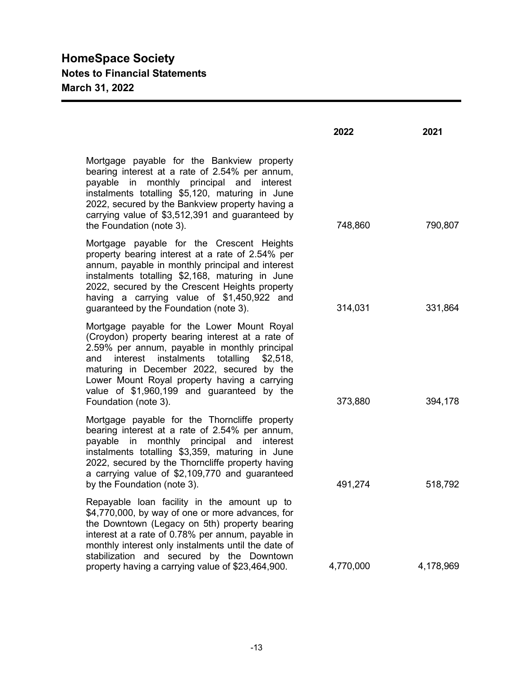|                                                                                                                                                                                                                                                                                                                                                                            | 2022      | 2021      |
|----------------------------------------------------------------------------------------------------------------------------------------------------------------------------------------------------------------------------------------------------------------------------------------------------------------------------------------------------------------------------|-----------|-----------|
| Mortgage payable for the Bankview property<br>bearing interest at a rate of 2.54% per annum,<br>payable in monthly principal and<br>interest<br>instalments totalling \$5,120, maturing in June<br>2022, secured by the Bankview property having a<br>carrying value of \$3,512,391 and guaranteed by<br>the Foundation (note 3).                                          | 748,860   | 790,807   |
| Mortgage payable for the Crescent Heights<br>property bearing interest at a rate of 2.54% per<br>annum, payable in monthly principal and interest<br>instalments totalling \$2,168, maturing in June<br>2022, secured by the Crescent Heights property<br>having a carrying value of \$1,450,922 and<br>guaranteed by the Foundation (note 3).                             | 314,031   | 331,864   |
| Mortgage payable for the Lower Mount Royal<br>(Croydon) property bearing interest at a rate of<br>2.59% per annum, payable in monthly principal<br>interest instalments<br>totalling<br>and<br>\$2,518,<br>maturing in December 2022, secured by the<br>Lower Mount Royal property having a carrying<br>value of \$1,960,199 and guaranteed by the<br>Foundation (note 3). | 373,880   | 394,178   |
| Mortgage payable for the Thorncliffe property<br>bearing interest at a rate of 2.54% per annum,<br>payable in monthly principal and<br>interest<br>instalments totalling \$3,359, maturing in June<br>2022, secured by the Thorncliffe property having<br>a carrying value of \$2,109,770 and guaranteed<br>by the Foundation (note 3).                                    | 491,274   | 518,792   |
| Repayable loan facility in the amount up to<br>\$4,770,000, by way of one or more advances, for<br>the Downtown (Legacy on 5th) property bearing<br>interest at a rate of 0.78% per annum, payable in<br>monthly interest only instalments until the date of<br>stabilization and secured by the Downtown<br>property having a carrying value of \$23,464,900.             | 4,770,000 | 4,178,969 |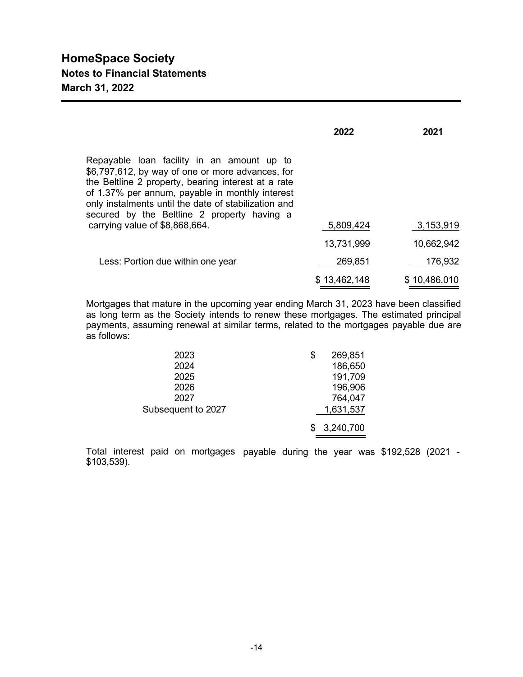|                                                                                                                                                                                                                                                                                                                                                   | 2022         | 2021         |
|---------------------------------------------------------------------------------------------------------------------------------------------------------------------------------------------------------------------------------------------------------------------------------------------------------------------------------------------------|--------------|--------------|
| Repayable loan facility in an amount up to<br>\$6,797,612, by way of one or more advances, for<br>the Beltline 2 property, bearing interest at a rate<br>of 1.37% per annum, payable in monthly interest<br>only instalments until the date of stabilization and<br>secured by the Beltline 2 property having a<br>carrying value of \$8,868,664. | 5,809,424    | 3,153,919    |
|                                                                                                                                                                                                                                                                                                                                                   | 13,731,999   | 10,662,942   |
| Less: Portion due within one year                                                                                                                                                                                                                                                                                                                 | 269,851      | 176,932      |
|                                                                                                                                                                                                                                                                                                                                                   | \$13,462,148 | \$10,486,010 |

Mortgages that mature in the upcoming year ending March 31, 2023 have been classified as long term as the Society intends to renew these mortgages. The estimated principal payments, assuming renewal at similar terms, related to the mortgages payable due are as follows:

| 2023               | 269,851   |
|--------------------|-----------|
| 2024               | 186,650   |
| 2025               | 191,709   |
| 2026               | 196,906   |
| 2027               | 764,047   |
| Subsequent to 2027 | 1,631,537 |
|                    | 3,240,700 |

Total interest paid on mortgages payable during the year was \$192,528 (2021 -\$103,539).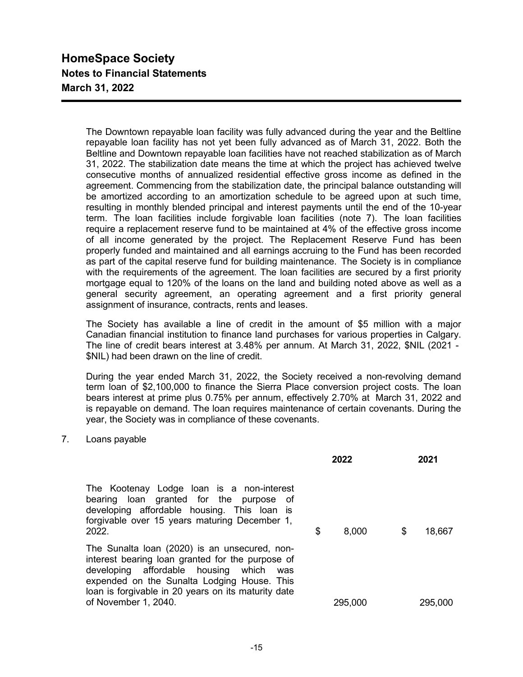The Downtown repayable loan facility was fully advanced during the year and the Beltline repayable loan facility has not yet been fully advanced as of March 31, 2022. Both the Beltline and Downtown repayable loan facilities have not reached stabilization as of March 31, 2022. The stabilization date means the time at which the project has achieved twelve consecutive months of annualized residential effective gross income as defined in the agreement. Commencing from the stabilization date, the principal balance outstanding will be amortized according to an amortization schedule to be agreed upon at such time, resulting in monthly blended principal and interest payments until the end of the 10-year term. The loan facilities include forgivable loan facilities (note 7). The loan facilities require a replacement reserve fund to be maintained at 4% of the effective gross income of all income generated by the project. The Replacement Reserve Fund has been properly funded and maintained and all earnings accruing to the Fund has been recorded as part of the capital reserve fund for building maintenance. The Society is in compliance with the requirements of the agreement. The loan facilities are secured by a first priority mortgage equal to 120% of the loans on the land and building noted above as well as a general security agreement, an operating agreement and a first priority general assignment of insurance, contracts, rents and leases.

The Society has available a line of credit in the amount of \$5 million with a major Canadian financial institution to finance land purchases for various properties in Calgary. The line of credit bears interest at 3.48% per annum. At March 31, 2022, \$NIL (2021 - \$NIL) had been drawn on the line of credit.

During the year ended March 31, 2022, the Society received a non-revolving demand term loan of \$2,100,000 to finance the Sierra Place conversion project costs. The loan bears interest at prime plus 0.75% per annum, effectively 2.70% at March 31, 2022 and is repayable on demand. The loan requires maintenance of certain covenants. During the year, the Society was in compliance of these covenants.

#### 7. Loans payable

|                                                                                                                                                                                                                                                       | 2022        | 2021        |
|-------------------------------------------------------------------------------------------------------------------------------------------------------------------------------------------------------------------------------------------------------|-------------|-------------|
| The Kootenay Lodge loan is a non-interest<br>bearing loan granted for the purpose of<br>developing affordable housing. This loan is<br>forgivable over 15 years maturing December 1,<br>2022.                                                         | \$<br>8,000 | S<br>18,667 |
| The Sunalta loan (2020) is an unsecured, non-<br>interest bearing loan granted for the purpose of<br>developing affordable housing which<br>was<br>expended on the Sunalta Lodging House. This<br>loan is forgivable in 20 years on its maturity date |             |             |
| of November 1, 2040.                                                                                                                                                                                                                                  | 295,000     | 295,000     |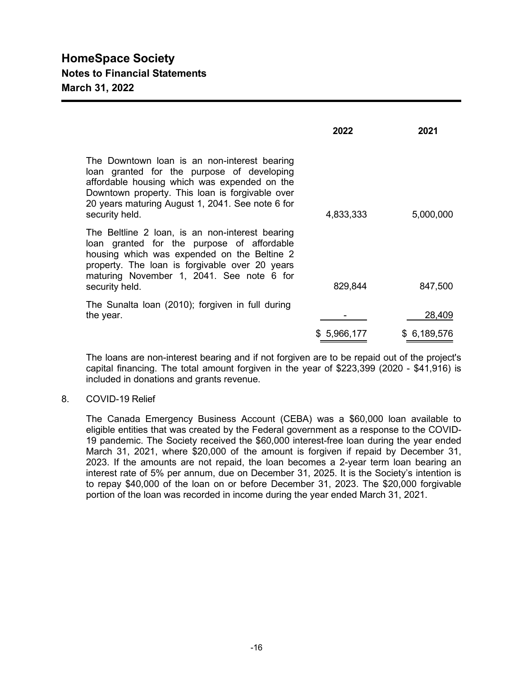|                                                                                                                                                                                                                                                                     | 2022         | 2021        |
|---------------------------------------------------------------------------------------------------------------------------------------------------------------------------------------------------------------------------------------------------------------------|--------------|-------------|
| The Downtown loan is an non-interest bearing<br>loan granted for the purpose of developing<br>affordable housing which was expended on the<br>Downtown property. This loan is forgivable over<br>20 years maturing August 1, 2041. See note 6 for<br>security held. | 4,833,333    | 5,000,000   |
| The Beltline 2 loan, is an non-interest bearing<br>loan granted for the purpose of affordable<br>housing which was expended on the Beltine 2<br>property. The loan is forgivable over 20 years<br>maturing November 1, 2041. See note 6 for<br>security held.       | 829,844      | 847,500     |
| The Sunalta Ioan (2010); forgiven in full during                                                                                                                                                                                                                    |              |             |
| the year.                                                                                                                                                                                                                                                           |              | 28,409      |
|                                                                                                                                                                                                                                                                     | \$ 5,966,177 | \$6,189,576 |

The loans are non-interest bearing and if not forgiven are to be repaid out of the project's capital financing. The total amount forgiven in the year of \$223,399 (2020 - \$41,916) is included in donations and grants revenue.

#### 8. COVID-19 Relief

The Canada Emergency Business Account (CEBA) was a \$60,000 loan available to eligible entities that was created by the Federal government as a response to the COVID-19 pandemic. The Society received the \$60,000 interest-free loan during the year ended March 31, 2021, where \$20,000 of the amount is forgiven if repaid by December 31, 2023. If the amounts are not repaid, the loan becomes a 2-year term loan bearing an interest rate of 5% per annum, due on December 31, 2025. It is the Society's intention is to repay \$40,000 of the loan on or before December 31, 2023. The \$20,000 forgivable portion of the loan was recorded in income during the year ended March 31, 2021.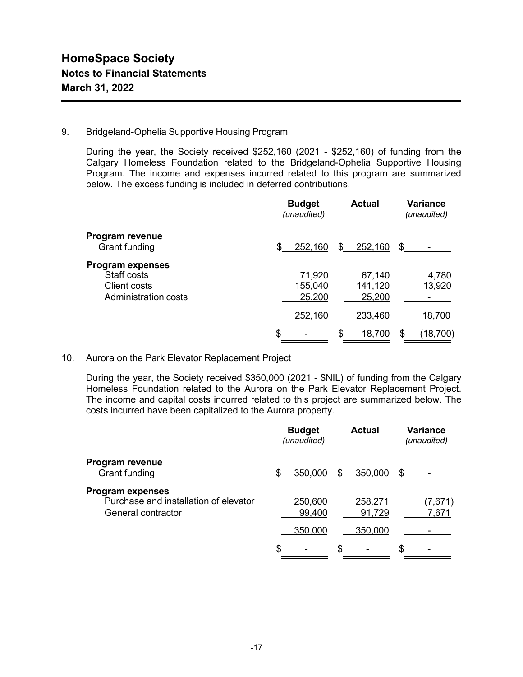#### 9. Bridgeland-Ophelia Supportive Housing Program

During the year, the Society received \$252,160 (2021 - \$252,160) of funding from the Calgary Homeless Foundation related to the Bridgeland-Ophelia Supportive Housing Program. The income and expenses incurred related to this program are summarized below. The excess funding is included in deferred contributions.

|                                  | <b>Budget</b><br>(unaudited) | <b>Actual</b>  | <b>Variance</b><br>(unaudited) |
|----------------------------------|------------------------------|----------------|--------------------------------|
| Program revenue<br>Grant funding | 252,160                      | 252,160<br>\$. | \$                             |
| Program expenses<br>Staff costs  | 71,920                       | 67,140         | 4,780                          |
| Client costs                     | 155,040                      | 141,120        | 13,920                         |
| Administration costs             | 25,200                       | 25,200         |                                |
|                                  | 252,160                      | 233,460        | 18,700                         |
|                                  | \$                           | \$<br>18,700   | \$<br>(18,700)                 |

#### 10. Aurora on the Park Elevator Replacement Project

During the year, the Society received \$350,000 (2021 - \$NIL) of funding from the Calgary Homeless Foundation related to the Aurora on the Park Elevator Replacement Project. The income and capital costs incurred related to this project are summarized below. The costs incurred have been capitalized to the Aurora property.

|                                                                                        |     | <b>Budget</b><br>(unaudited) |   | <b>Actual</b>     | <b>Variance</b><br>(unaudited) |
|----------------------------------------------------------------------------------------|-----|------------------------------|---|-------------------|--------------------------------|
| <b>Program revenue</b><br>Grant funding                                                | \$. | 350,000                      | S | 350,000           | \$                             |
| <b>Program expenses</b><br>Purchase and installation of elevator<br>General contractor |     | 250,600<br>99,400            |   | 258,271<br>91,729 | (7,671)<br>7,671               |
|                                                                                        |     | 350,000                      |   | 350,000           |                                |
|                                                                                        | \$  |                              | S |                   | \$                             |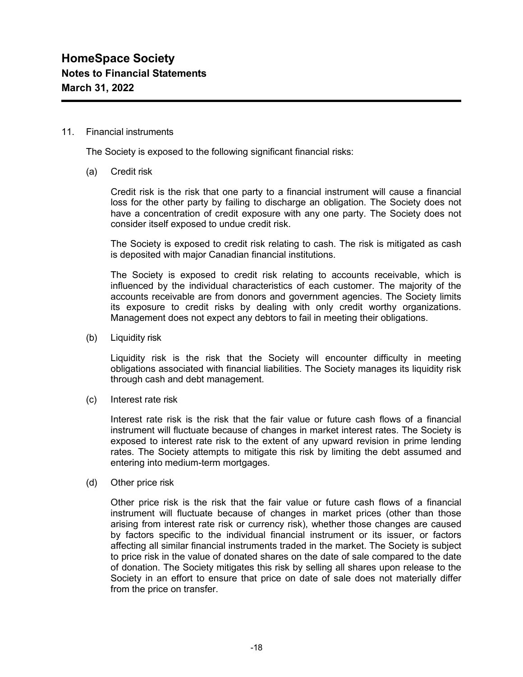#### 11. Financial instruments

The Society is exposed to the following significant financial risks:

(a) Credit risk

Credit risk is the risk that one party to a financial instrument will cause a financial loss for the other party by failing to discharge an obligation. The Society does not have a concentration of credit exposure with any one party. The Society does not consider itself exposed to undue credit risk.

The Society is exposed to credit risk relating to cash. The risk is mitigated as cash is deposited with major Canadian financial institutions.

The Society is exposed to credit risk relating to accounts receivable, which is influenced by the individual characteristics of each customer. The majority of the accounts receivable are from donors and government agencies. The Society limits its exposure to credit risks by dealing with only credit worthy organizations. Management does not expect any debtors to fail in meeting their obligations.

(b) Liquidity risk

Liquidity risk is the risk that the Society will encounter difficulty in meeting obligations associated with financial liabilities. The Society manages its liquidity risk through cash and debt management.

(c) Interest rate risk

Interest rate risk is the risk that the fair value or future cash flows of a financial instrument will fluctuate because of changes in market interest rates. The Society is exposed to interest rate risk to the extent of any upward revision in prime lending rates. The Society attempts to mitigate this risk by limiting the debt assumed and entering into medium-term mortgages.

(d) Other price risk

Other price risk is the risk that the fair value or future cash flows of a financial instrument will fluctuate because of changes in market prices (other than those arising from interest rate risk or currency risk), whether those changes are caused by factors specific to the individual financial instrument or its issuer, or factors affecting all similar financial instruments traded in the market. The Society is subject to price risk in the value of donated shares on the date of sale compared to the date of donation. The Society mitigates this risk by selling all shares upon release to the Society in an effort to ensure that price on date of sale does not materially differ from the price on transfer.